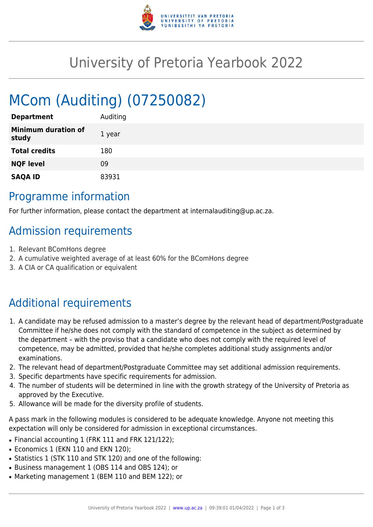

## University of Pretoria Yearbook 2022

# MCom (Auditing) (07250082)

| <b>Department</b>                   | Auditing |
|-------------------------------------|----------|
| <b>Minimum duration of</b><br>study | 1 year   |
| <b>Total credits</b>                | 180      |
| <b>NQF level</b>                    | 09       |
| <b>SAQA ID</b>                      | 83931    |

#### Programme information

For further information, please contact the department at internalauditing@up.ac.za.

### Admission requirements

- 1. Relevant BComHons degree
- 2. A cumulative weighted average of at least 60% for the BComHons degree
- 3. A CIA or CA qualification or equivalent

## Additional requirements

- 1. A candidate may be refused admission to a master's degree by the relevant head of department/Postgraduate Committee if he/she does not comply with the standard of competence in the subject as determined by the department – with the proviso that a candidate who does not comply with the required level of competence, may be admitted, provided that he/she completes additional study assignments and/or examinations.
- 2. The relevant head of department/Postgraduate Committee may set additional admission requirements.
- 3. Specific departments have specific requirements for admission.
- 4. The number of students will be determined in line with the growth strategy of the University of Pretoria as approved by the Executive.
- 5. Allowance will be made for the diversity profile of students.

A pass mark in the following modules is considered to be adequate knowledge. Anyone not meeting this expectation will only be considered for admission in exceptional circumstances.

- Financial accounting 1 (FRK 111 and FRK 121/122);
- Economics 1 (EKN 110 and EKN 120);
- Statistics 1 (STK 110 and STK 120) and one of the following:
- Business management 1 (OBS 114 and OBS 124); or
- Marketing management 1 (BEM 110 and BEM 122); or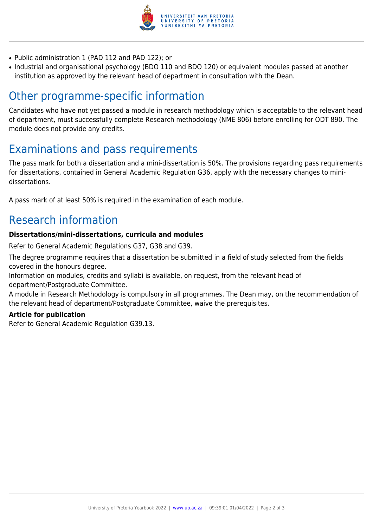

- Public administration 1 (PAD 112 and PAD 122); or
- Industrial and organisational psychology (BDO 110 and BDO 120) or equivalent modules passed at another institution as approved by the relevant head of department in consultation with the Dean.

### Other programme-specific information

Candidates who have not yet passed a module in research methodology which is acceptable to the relevant head of department, must successfully complete Research methodology (NME 806) before enrolling for ODT 890. The module does not provide any credits.

#### Examinations and pass requirements

The pass mark for both a dissertation and a mini-dissertation is 50%. The provisions regarding pass requirements for dissertations, contained in General Academic Regulation G36, apply with the necessary changes to minidissertations.

A pass mark of at least 50% is required in the examination of each module.

### Research information

#### **Dissertations/mini-dissertations, curricula and modules**

Refer to General Academic Regulations G37, G38 and G39.

The degree programme requires that a dissertation be submitted in a field of study selected from the fields covered in the honours degree.

Information on modules, credits and syllabi is available, on request, from the relevant head of department/Postgraduate Committee.

A module in Research Methodology is compulsory in all programmes. The Dean may, on the recommendation of the relevant head of department/Postgraduate Committee, waive the prerequisites.

#### **Article for publication**

Refer to General Academic Regulation G39.13.